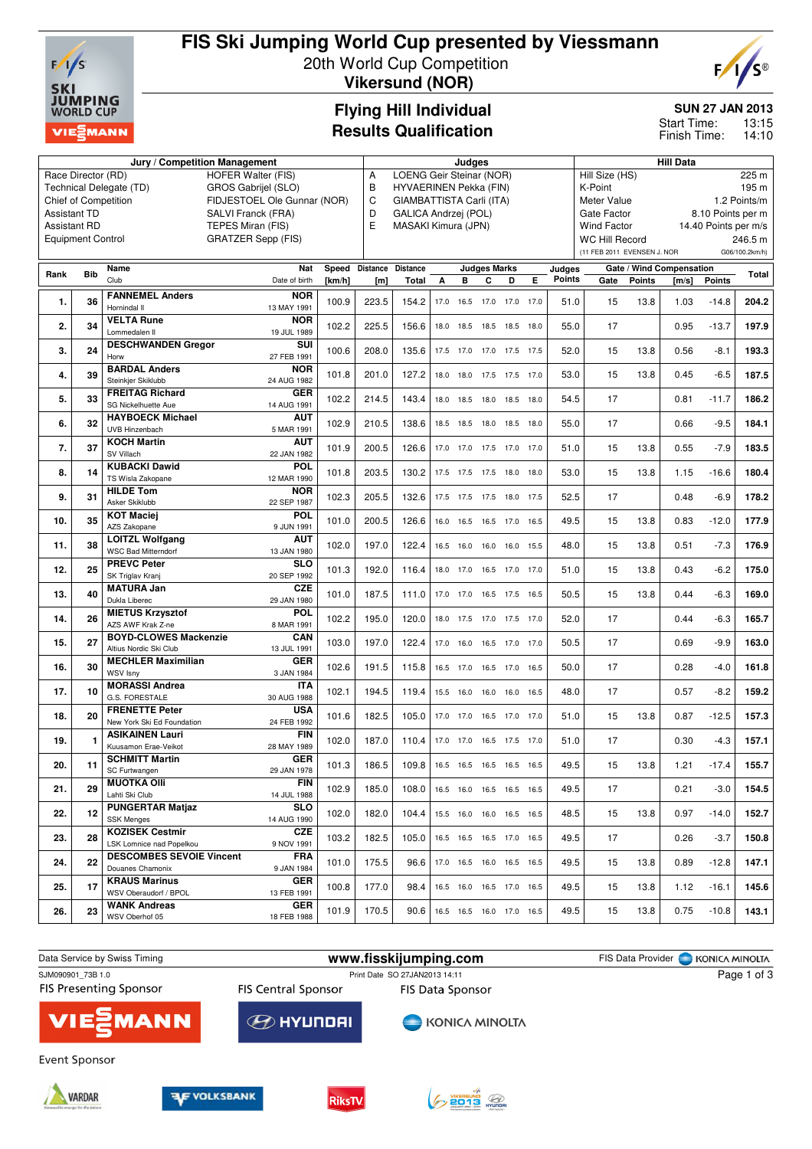

## **FIS Ski Jumping World Cup presented by Viessmann**

20th World Cup Competition **Vikersund (NOR)**



#### **Flying Hill Individual Results Qualification**

#### **SUN 27 JAN 2013**

13:15 14:10 Start Time: Finish Time:

|                                           |                          | Judges                                                      |                                                |        |                 |                                          |      |                |                     | <b>Hill Data</b>         |      |                      |                             |               |                          |               |                |
|-------------------------------------------|--------------------------|-------------------------------------------------------------|------------------------------------------------|--------|-----------------|------------------------------------------|------|----------------|---------------------|--------------------------|------|----------------------|-----------------------------|---------------|--------------------------|---------------|----------------|
| Race Director (RD)                        | А                        | LOENG Geir Steinar (NOR)                                    |                                                |        |                 |                                          |      |                |                     | Hill Size (HS)<br>225 m  |      |                      |                             |               |                          |               |                |
| Technical Delegate (TD)                   | В                        | HYVAERINEN Pekka (FIN)                                      |                                                |        |                 |                                          |      |                |                     | K-Point<br>195 m         |      |                      |                             |               |                          |               |                |
| <b>Chief of Competition</b>               | C                        | GIAMBATTISTA Carli (ITA)<br>Meter Value                     |                                                |        |                 |                                          |      |                |                     | 1.2 Points/m             |      |                      |                             |               |                          |               |                |
| <b>Assistant TD</b><br>SALVI Franck (FRA) |                          |                                                             |                                                |        |                 | D<br>GALICA Andrzej (POL)<br>Gate Factor |      |                |                     |                          |      |                      | 8.10 Points per m           |               |                          |               |                |
| <b>Assistant RD</b>                       | E                        | MASAKI Kimura (JPN)                                         |                                                |        |                 |                                          |      |                | <b>Wind Factor</b>  |                          |      | 14.40 Points per m/s |                             |               |                          |               |                |
|                                           | <b>Equipment Control</b> |                                                             | TEPES Miran (FIS)<br><b>GRATZER Sepp (FIS)</b> |        |                 |                                          |      |                |                     |                          |      |                      | <b>WC Hill Record</b>       |               |                          |               | 246.5 m        |
|                                           |                          |                                                             |                                                |        |                 |                                          |      |                |                     |                          |      |                      | (11 FEB 2011 EVENSEN J. NOR |               |                          |               | G06/100.2km/h) |
|                                           |                          |                                                             |                                                |        |                 |                                          |      |                |                     |                          |      |                      |                             |               |                          |               |                |
| Rank                                      | <b>Bib</b>               | Name                                                        | Nat                                            | Speed  | <b>Distance</b> | <b>Distance</b>                          |      |                | <b>Judges Marks</b> |                          |      | Judges               |                             |               | Gate / Wind Compensation |               | <b>Total</b>   |
|                                           |                          | Club                                                        | Date of birth                                  | [km/h] | [m]             | Total                                    | A    | в              | C                   | D                        | Е    | Points               | Gate                        | <b>Points</b> | [m/s]                    | <b>Points</b> |                |
| 1.                                        | 36                       | <b>FANNEMEL Anders</b>                                      | <b>NOR</b>                                     | 100.9  | 223.5           | 154.2                                    | 17.0 |                | 16.5 17.0 17.0      |                          | 17.0 | 51.0                 | 15                          | 13.8          | 1.03                     | $-14.8$       | 204.2          |
|                                           |                          | Hornindal II                                                | 13 MAY 1991                                    |        |                 |                                          |      |                |                     |                          |      |                      |                             |               |                          |               |                |
| 2.                                        | 34                       | <b>VELTA Rune</b>                                           | <b>NOR</b>                                     | 102.2  | 225.5           | 156.6                                    | 18.0 | 18.5           | 18.5 18.5           |                          | 18.0 | 55.0                 | 17                          |               | 0.95                     | $-13.7$       | 197.9          |
|                                           |                          | Lommedalen II                                               | 19 JUL 1989                                    |        |                 |                                          |      |                |                     |                          |      |                      |                             |               |                          |               |                |
| 3.                                        | 24                       | <b>DESCHWANDEN Gregor</b>                                   | SUI                                            | 100.6  | 208.0           | 135.6                                    | 17.5 |                | 17.0 17.0 17.5      |                          | 17.5 | 52.0                 | 15                          | 13.8          | 0.56                     | $-8.1$        | 193.3          |
|                                           |                          | Horw                                                        | 27 FEB 1991                                    |        |                 |                                          |      |                |                     |                          |      |                      |                             |               |                          |               |                |
| 4.                                        | 39                       | <b>BARDAL Anders</b>                                        | <b>NOR</b>                                     | 101.8  | 201.0           | 127.2                                    | 18.0 |                | 18.0 17.5 17.5      |                          | 17.0 | 53.0                 | 15                          | 13.8          | 0.45                     | $-6.5$        | 187.5          |
|                                           |                          | Steinkjer Skiklubb                                          | 24 AUG 1982                                    |        |                 |                                          |      |                |                     |                          |      |                      |                             |               |                          |               |                |
| 5.                                        | 33                       | <b>FREITAG Richard</b>                                      | <b>GER</b>                                     | 102.2  | 214.5           | 143.4                                    | 18.0 |                | 18.5 18.0           | 18.5                     | 18.0 | 54.5                 | 17                          |               | 0.81                     | $-11.7$       | 186.2          |
|                                           |                          | <b>SG Nickelhuette Aue</b>                                  | 14 AUG 1991                                    |        |                 |                                          |      |                |                     |                          |      |                      |                             |               |                          |               |                |
| 6.                                        | 32                       | <b>HAYBOECK Michael</b>                                     | <b>AUT</b>                                     | 102.9  | 210.5           | 138.6                                    | 18.5 |                | 18.5 18.0           | 18.5                     | 18.0 | 55.0                 | 17                          |               | 0.66                     | $-9.5$        | 184.1          |
|                                           |                          | UVB Hinzenbach                                              | 5 MAR 1991                                     |        |                 |                                          |      |                |                     |                          |      |                      |                             |               |                          |               |                |
| 7.                                        | 37                       | <b>KOCH Martin</b>                                          | <b>AUT</b>                                     | 101.9  | 200.5           | 126.6                                    |      | 17.0 17.0      | 17.5 17.0           |                          | 17.0 | 51.0                 | 15                          | 13.8          | 0.55                     | $-7.9$        | 183.5          |
|                                           |                          | SV Villach                                                  | 22 JAN 1982                                    |        |                 |                                          |      |                |                     |                          |      |                      |                             |               |                          |               |                |
| 8.                                        | 14                       | <b>KUBACKI Dawid</b>                                        | <b>POL</b>                                     | 101.8  | 203.5           | 130.2                                    | 17.5 |                | 17.5 17.5           | 18.0                     | 18.0 | 53.0                 | 15                          | 13.8          | 1.15                     | $-16.6$       | 180.4          |
|                                           |                          | TS Wisla Zakopane                                           | 12 MAR 1990                                    |        |                 |                                          |      |                |                     |                          |      |                      |                             |               |                          |               |                |
| 9.                                        | 31                       | <b>HILDE Tom</b>                                            | <b>NOR</b>                                     | 102.3  | 205.5           | 132.6                                    |      | 17.5 17.5 17.5 |                     | 18.0                     | 17.5 | 52.5                 | 17                          |               | 0.48                     | $-6.9$        | 178.2          |
|                                           |                          | Asker Skiklubb                                              | 22 SEP 1987                                    |        |                 |                                          |      |                |                     |                          |      |                      |                             |               |                          |               |                |
| 10.                                       | 35                       | <b>KOT Maciej</b><br>AZS Zakopane                           | <b>POL</b><br>9 JUN 1991                       | 101.0  | 200.5           | 126.6                                    | 16.0 |                | 16.5 16.5 17.0      |                          | 16.5 | 49.5                 | 15                          | 13.8          | 0.83                     | $-12.0$       | 177.9          |
|                                           |                          | <b>LOITZL Wolfgang</b>                                      | AUT                                            |        |                 |                                          |      |                |                     |                          |      |                      |                             |               |                          |               |                |
| 11.                                       | 38                       | <b>WSC Bad Mitterndorf</b>                                  | 13 JAN 1980                                    | 102.0  | 197.0           | 122.4                                    |      |                |                     | 16.5 16.0 16.0 16.0 15.5 |      | 48.0                 | 15                          | 13.8          | 0.51                     | $-7.3$        | 176.9          |
|                                           |                          | <b>PREVC Peter</b>                                          | <b>SLO</b>                                     |        |                 |                                          |      |                |                     |                          |      |                      |                             |               |                          |               |                |
| 12.                                       | 25                       | SK Triglav Kranj                                            | 20 SEP 1992                                    | 101.3  | 192.0           | 116.4                                    |      |                |                     | 18.0 17.0 16.5 17.0 17.0 |      | 51.0                 | 15                          | 13.8          | 0.43                     | $-6.2$        | 175.0          |
|                                           |                          | <b>MATURA Jan</b>                                           | <b>CZE</b>                                     |        |                 |                                          |      |                |                     |                          |      |                      |                             |               |                          |               |                |
| 13.                                       | 40                       | Dukla Liberec                                               | 29 JAN 1980                                    | 101.0  | 187.5           | 111.0                                    |      |                |                     | 17.0 17.0 16.5 17.5 16.5 |      | 50.5                 | 15                          | 13.8          | 0.44                     | $-6.3$        | 169.0          |
|                                           |                          | <b>MIETUS Krzysztof</b>                                     | <b>POL</b>                                     |        |                 |                                          |      |                |                     |                          |      |                      |                             |               |                          |               |                |
| 14.                                       | 26                       | AZS AWF Krak Z-ne                                           | 8 MAR 1991                                     | 102.2  | 195.0           | 120.0                                    |      |                |                     | 18.0 17.5 17.0 17.5 17.0 |      | 52.0                 | 17                          |               | 0.44                     | $-6.3$        | 165.7          |
|                                           |                          | <b>BOYD-CLOWES Mackenzie</b>                                | CAN                                            |        |                 |                                          |      |                |                     |                          |      |                      |                             |               |                          |               |                |
| 15.                                       | 27                       | Altius Nordic Ski Club                                      | 13 JUL 1991                                    | 103.0  | 197.0           | 122.4                                    |      |                |                     | 17.0 16.0 16.5 17.0 17.0 |      | 50.5                 | 17                          |               | 0.69                     | $-9.9$        | 163.0          |
|                                           |                          | <b>MECHLER Maximilian</b>                                   | <b>GER</b>                                     |        |                 |                                          |      |                |                     |                          |      |                      |                             |               |                          |               |                |
| 16.                                       | 30                       | WSV Isny                                                    | 3 JAN 1984                                     | 102.6  | 191.5           | 115.8                                    |      |                |                     | 16.5 17.0 16.5 17.0 16.5 |      | 50.0                 | 17                          |               | 0.28                     | $-4.0$        | 161.8          |
| 17.                                       | 10                       | <b>MORASSI Andrea</b>                                       | IΤΑ                                            | 102.1  | 194.5           | 119.4                                    |      |                |                     | 15.5 16.0 16.0 16.0 16.5 |      | 48.0                 | 17                          |               | 0.57                     | $-8.2$        | 159.2          |
|                                           |                          | G.S. FORESTALE                                              | 30 AUG 1988                                    |        |                 |                                          |      |                |                     |                          |      |                      |                             |               |                          |               |                |
| 18.                                       | 20                       | <b>FRENETTE Peter</b>                                       | <b>USA</b>                                     | 101.6  | 182.5           | 105.0                                    |      |                |                     | 17.0 17.0 16.5 17.0 17.0 |      | 51.0                 | 15                          | 13.8          | 0.87                     | $-12.5$       | 157.3          |
|                                           |                          | New York Ski Ed Foundation                                  | 24 FEB 1992                                    |        |                 |                                          |      |                |                     |                          |      |                      |                             |               |                          |               |                |
| 19.                                       | 1                        | <b>ASIKAINEN Lauri</b>                                      | <b>FIN</b>                                     | 102.0  | 187.0           | 110.4                                    |      |                |                     | 17.0 17.0 16.5 17.5 17.0 |      | 51.0                 | 17                          |               | 0.30                     | $-4.3$        | 157.1          |
|                                           |                          | Kuusamon Erae-Veikot                                        | 28 MAY 1989                                    |        |                 |                                          |      |                |                     |                          |      |                      |                             |               |                          |               |                |
| 20.                                       | 11                       | <b>SCHMITT Martin</b>                                       | <b>GER</b>                                     | 101.3  | 186.5           | 109.8                                    |      |                |                     | 16.5 16.5 16.5 16.5 16.5 |      | 49.5                 | 15                          | 13.8          | 1.21                     | -17.4         | 155.7          |
|                                           |                          | SC Furtwangen                                               | 29 JAN 1978                                    |        |                 |                                          |      |                |                     |                          |      |                      |                             |               |                          |               |                |
| 21.                                       | 29                       | <b>MUOTKA OIII</b>                                          | <b>FIN</b>                                     | 102.9  | 185.0           | 108.0                                    |      |                |                     | 16.5 16.0 16.5 16.5 16.5 |      | 49.5                 | 17                          |               | 0.21                     | $-3.0$        | 154.5          |
|                                           |                          | Lahti Ski Club                                              | 14 JUL 1988                                    |        |                 |                                          |      |                |                     |                          |      |                      |                             |               |                          |               |                |
| 22.                                       | 12                       | <b>PUNGERTAR Matjaz</b>                                     | SLO                                            | 102.0  | 182.0           | 104.4                                    |      |                |                     | 15.5 16.0 16.0 16.5 16.5 |      | 48.5                 | 15                          | 13.8          | 0.97                     | $-14.0$       | 152.7          |
|                                           |                          | <b>SSK Menges</b>                                           | 14 AUG 1990                                    |        |                 |                                          |      |                |                     |                          |      |                      |                             |               |                          |               |                |
| 23.                                       | 28                       | <b>KOZISEK Cestmir</b>                                      | <b>CZE</b>                                     | 103.2  | 182.5           | 105.0                                    |      |                |                     | 16.5 16.5 16.5 17.0 16.5 |      | 49.5                 | 17                          |               | 0.26                     | $-3.7$        | 150.8          |
|                                           |                          | LSK Lomnice nad Popelkou<br><b>DESCOMBES SEVOIE Vincent</b> | 9 NOV 1991                                     |        |                 |                                          |      |                |                     |                          |      |                      |                             |               |                          |               |                |
| 24.                                       | 22                       | Douanes Chamonix                                            | <b>FRA</b><br>9 JAN 1984                       | 101.0  | 175.5           | 96.6                                     |      |                |                     | 17.0 16.5 16.0 16.5 16.5 |      | 49.5                 | 15                          | 13.8          | 0.89                     | $-12.8$       | 147.1          |
|                                           |                          | <b>KRAUS Marinus</b>                                        | <b>GER</b>                                     |        |                 |                                          |      |                |                     |                          |      |                      |                             |               |                          |               |                |
| 25.                                       | 17                       | WSV Oberaudorf / BPOL                                       | 13 FEB 1991                                    | 100.8  | 177.0           | 98.4                                     |      |                |                     | 16.5 16.0 16.5 17.0 16.5 |      | 49.5                 | 15                          | 13.8          | 1.12                     | $-16.1$       | 145.6          |
|                                           |                          | <b>WANK Andreas</b>                                         | GER                                            |        |                 |                                          |      |                |                     |                          |      |                      |                             |               |                          |               |                |
| 26.                                       | 23                       | WSV Oberhof 05                                              | 18 FEB 1988                                    | 101.9  | 170.5           | 90.6                                     |      |                |                     | 16.5 16.5 16.0 17.0 16.5 |      | 49.5                 | 15                          | 13.8          | 0.75                     | $-10.8$       | 143.1          |
|                                           |                          |                                                             |                                                |        |                 |                                          |      |                |                     |                          |      |                      |                             |               |                          |               |                |

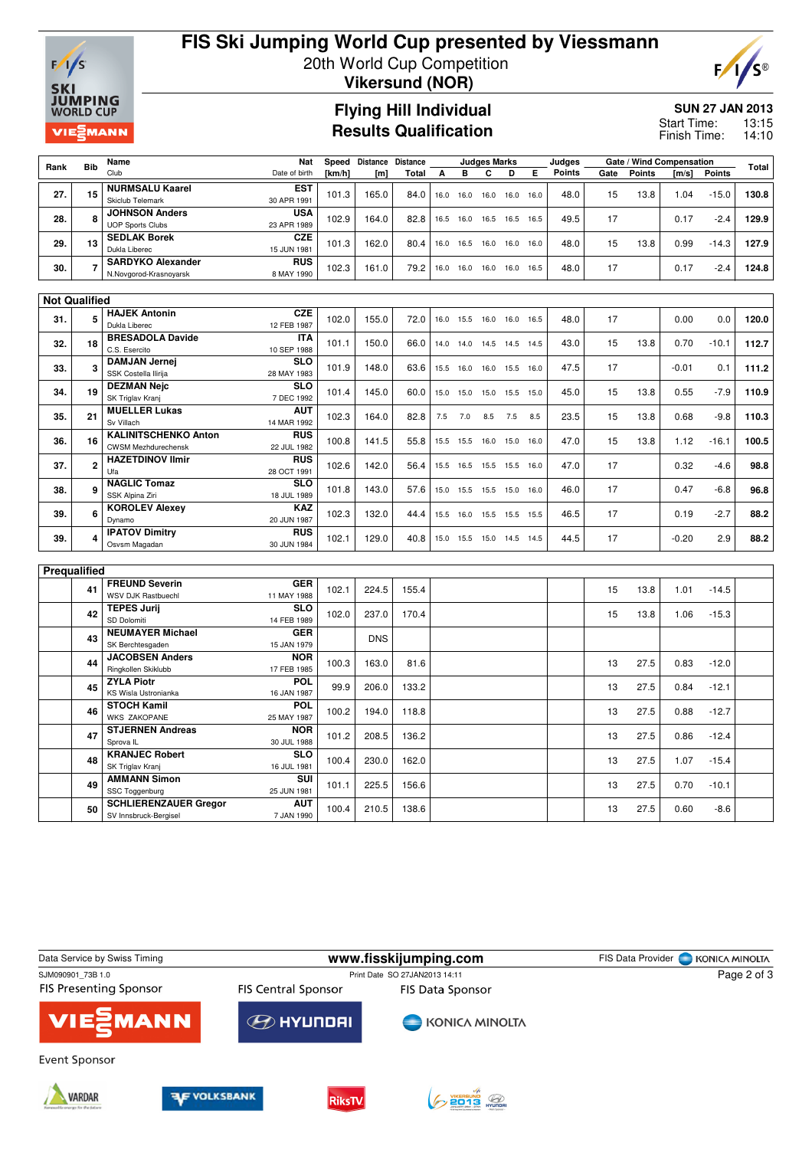

# **FIS Ski Jumping World Cup presented by Viessmann** 20th World Cup Competition



**Vikersund (NOR)**

#### **Flying Hill Individual Results Qualification**

#### **SUN 27 JAN 2013**

13:15 14:10 Start Time: Finish Time:

| Rank         | <b>Bib</b>           | Name                                                      | Speed                     | Distance Distance |            | <b>Judges Marks</b> |      |      |      |                          | Judges | Gate / Wind Compensation |      |               |         | <b>Total</b>  |       |
|--------------|----------------------|-----------------------------------------------------------|---------------------------|-------------------|------------|---------------------|------|------|------|--------------------------|--------|--------------------------|------|---------------|---------|---------------|-------|
|              |                      | Club                                                      | Date of birth             | [km/h]            | [m]        | <b>Total</b>        | А    | B    | C    | D                        | Е      | Points                   | Gate | <b>Points</b> | [m/s]   | <b>Points</b> |       |
|              |                      | <b>NURMSALU Kaarel</b>                                    | <b>EST</b>                |                   |            |                     |      |      |      |                          |        |                          |      |               |         |               |       |
| 27.          | 15                   | Skiclub Telemark                                          | 30 APR 1991               | 101.3             | 165.0      | 84.0                | 16.0 | 16.0 | 16.0 | 16.0                     | 16.0   | 48.0                     | 15   | 13.8          | 1.04    | $-15.0$       | 130.8 |
| 28.          | 8                    | <b>JOHNSON Anders</b>                                     | USA                       | 102.9             | 164.0      | 82.8                | 16.5 | 16.0 |      | 16.5 16.5 16.5           |        | 49.5                     | 17   |               | 0.17    | $-2.4$        | 129.9 |
|              |                      | <b>UOP Sports Clubs</b>                                   | 23 APR 1989               |                   |            |                     |      |      |      |                          |        |                          |      |               |         |               |       |
| 29.          | 13                   | <b>SEDLAK Borek</b>                                       | CZE                       | 101.3             | 162.0      | 80.4                | 16.0 | 16.5 | 16.0 | 16.0                     | 16.0   | 48.0                     | 15   | 13.8          | 0.99    | $-14.3$       | 127.9 |
|              |                      | Dukla Liberec                                             | 15 JUN 1981               |                   |            |                     |      |      |      |                          |        |                          |      |               |         |               |       |
| 30.          | 7                    | <b>SARDYKO Alexander</b>                                  | <b>RUS</b>                | 102.3             | 161.0      | 79.2                | 16.0 | 16.0 | 16.0 | 16.0 16.5                |        | 48.0                     | 17   |               | 0.17    | $-2.4$        | 124.8 |
|              |                      | N.Novgorod-Krasnoyarsk                                    | 8 MAY 1990                |                   |            |                     |      |      |      |                          |        |                          |      |               |         |               |       |
|              |                      |                                                           |                           |                   |            |                     |      |      |      |                          |        |                          |      |               |         |               |       |
|              | <b>Not Qualified</b> | <b>HAJEK Antonin</b>                                      | <b>CZE</b>                |                   |            |                     |      |      |      |                          |        |                          |      |               |         |               |       |
| 31.          | 5                    | Dukla Liberec                                             | 12 FEB 1987               | 102.0             | 155.0      | 72.0                | 16.0 | 15.5 | 16.0 | 16.0                     | 16.5   | 48.0                     | 17   |               | 0.00    | 0.0           | 120.0 |
|              |                      | <b>BRESADOLA Davide</b>                                   | <b>ITA</b>                |                   |            |                     |      |      |      |                          |        |                          |      |               |         |               |       |
| 32.          | 18                   | C.S. Esercito                                             | 10 SEP 1988               | 101.1             | 150.0      | 66.0                | 14.0 |      |      | 14.0 14.5 14.5 14.5      |        | 43.0                     | 15   | 13.8          | 0.70    | $-10.1$       | 112.7 |
|              |                      | <b>DAMJAN Jernei</b>                                      | <b>SLO</b>                |                   |            |                     |      |      |      |                          |        |                          |      |               |         |               |       |
| 33.          | 3                    | SSK Costella Ilirija                                      | 28 MAY 1983               | 101.9             | 148.0      | 63.6                | 15.5 | 16.0 | 16.0 | 15.5 16.0                |        | 47.5                     | 17   |               | $-0.01$ | 0.1           | 111.2 |
| 34.          | 19                   | <b>DEZMAN Nejc</b>                                        | <b>SLO</b>                | 101.4             | 145.0      | 60.0                | 15.0 | 15.0 | 15.0 | 15.5                     | 15.0   | 45.0                     | 15   | 13.8          | 0.55    | $-7.9$        | 110.9 |
|              |                      | SK Triglav Kranj                                          | 7 DEC 1992                |                   |            |                     |      |      |      |                          |        |                          |      |               |         |               |       |
| 35.          | 21                   | <b>MUELLER Lukas</b>                                      | <b>AUT</b>                |                   | 164.0      | 82.8                | 7.5  | 7.0  | 8.5  | 7.5                      | 8.5    | 23.5                     | 15   | 13.8          | 0.68    | $-9.8$        | 110.3 |
|              |                      | Sv Villach                                                | 14 MAR 1992<br><b>RUS</b> | 102.3             |            |                     |      |      |      |                          |        |                          |      |               |         |               |       |
| 36.          | 16                   | <b>KALINITSCHENKO Anton</b><br><b>CWSM Mezhdurechensk</b> |                           | 100.8             | 141.5      | 55.8                | 15.5 | 15.5 |      | 16.0 15.0 16.0           |        | 47.0                     | 15   | 13.8          | 1.12    | $-16.1$       | 100.5 |
|              |                      | <b>HAZETDINOV Ilmir</b>                                   | 22 JUL 1982<br><b>RUS</b> |                   |            |                     |      |      |      |                          |        |                          |      |               |         |               |       |
| 37.          | 2                    | Ufa                                                       | 28 OCT 1991               | 102.6             | 142.0      | 56.4                | 15.5 | 16.5 |      | 15.5 15.5 16.0           |        | 47.0                     | 17   |               | 0.32    | $-4.6$        | 98.8  |
|              |                      | <b>NAGLIC Tomaz</b>                                       | <b>SLO</b>                |                   |            |                     |      |      |      |                          |        |                          |      |               |         |               |       |
| 38.          | 9                    | SSK Alpina Ziri                                           | 18 JUL 1989               | 101.8             | 143.0      | 57.6                | 15.0 | 15.5 |      | 15.5 15.0 16.0           |        | 46.0                     | 17   |               | 0.47    | $-6.8$        | 96.8  |
|              |                      | <b>KOROLEV Alexev</b>                                     | KAZ                       |                   |            |                     |      |      |      |                          |        |                          |      |               |         |               |       |
| 39.          | 6                    | Dynamo                                                    | 20 JUN 1987               | 102.3             | 132.0      | 44.4                | 15.5 | 16.0 |      | 15.5 15.5 15.5           |        | 46.5                     | 17   |               | 0.19    | $-2.7$        | 88.2  |
| 39.          | 4                    | <b>IPATOV Dimitry</b>                                     | <b>RUS</b>                | 102.1             | 129.0      | 40.8                |      |      |      | 15.0 15.5 15.0 14.5 14.5 |        | 44.5                     | 17   |               | $-0.20$ | 2.9           | 88.2  |
|              |                      | Osvsm Magadan                                             | 30 JUN 1984               |                   |            |                     |      |      |      |                          |        |                          |      |               |         |               |       |
|              |                      |                                                           |                           |                   |            |                     |      |      |      |                          |        |                          |      |               |         |               |       |
| Prequalified |                      |                                                           |                           |                   |            |                     |      |      |      |                          |        |                          |      |               |         |               |       |
|              | 41                   | <b>FREUND Severin</b>                                     | <b>GER</b>                | 102.1             | 224.5      | 155.4               |      |      |      |                          |        |                          | 15   | 13.8          | 1.01    | $-14.5$       |       |
|              |                      | WSV DJK Rastbuechl                                        | 11 MAY 1988               |                   |            |                     |      |      |      |                          |        |                          |      |               |         |               |       |
|              | 42                   | <b>TEPES Jurii</b><br>SD Dolomiti                         | <b>SLO</b><br>14 FEB 1989 | 102.0             | 237.0      | 170.4               |      |      |      |                          |        |                          | 15   | 13.8          | 1.06    | $-15.3$       |       |
|              |                      | <b>NEUMAYER Michael</b>                                   | <b>GER</b>                |                   |            |                     |      |      |      |                          |        |                          |      |               |         |               |       |
|              | 43                   | SK Berchtesgaden                                          | 15 JAN 1979               |                   | <b>DNS</b> |                     |      |      |      |                          |        |                          |      |               |         |               |       |
|              |                      | <b>JACOBSEN Anders</b>                                    | <b>NOR</b>                |                   |            |                     |      |      |      |                          |        |                          |      |               |         |               |       |
|              | 44                   | Ringkollen Skiklubb                                       | 17 FEB 1985               | 100.3             | 163.0      | 81.6                |      |      |      |                          |        |                          | 13   | 27.5          | 0.83    | $-12.0$       |       |
|              |                      | <b>ZYLA Piotr</b>                                         | POL                       | 99.9              | 206.0      | 133.2               |      |      |      |                          |        |                          | 13   | 27.5          | 0.84    | $-12.1$       |       |
|              | 45                   | <b>KS Wisla Ustronianka</b>                               | 16 JAN 1987               |                   |            |                     |      |      |      |                          |        |                          |      |               |         |               |       |
|              | 46                   | <b>STOCH Kamil</b><br><b>POL</b>                          |                           | 100.2             | 194.0      | 118.8               |      |      |      |                          |        |                          | 13   | 27.5          | 0.88    | $-12.7$       |       |
|              |                      | <b>WKS ZAKOPANE</b>                                       | 25 MAY 1987               |                   |            |                     |      |      |      |                          |        |                          |      |               |         |               |       |
|              | 47                   | <b>STJERNEN Andreas</b>                                   | <b>NOR</b>                | 101.2             | 208.5      | 136.2               |      |      |      |                          |        |                          | 13   | 27.5          | 0.86    | $-12.4$       |       |
|              |                      | Sprova <sub>IL</sub>                                      | 30 JUL 1988               |                   |            |                     |      |      |      |                          |        |                          |      |               |         |               |       |
|              | 48                   | <b>KRANJEC Robert</b><br>SK Triglav Kranj                 | <b>SLO</b><br>16 JUL 1981 | 100.4             | 230.0      | 162.0               |      |      |      |                          |        |                          | 13   | 27.5          | 1.07    | $-15.4$       |       |
|              |                      | <b>AMMANN Simon</b>                                       | SUI                       |                   |            |                     |      |      |      |                          |        |                          |      |               |         |               |       |
|              | 49                   | SSC Toggenburg                                            | 25 JUN 1981               | 101.1             | 225.5      | 156.6               |      |      |      |                          |        |                          | 13   | 27.5          | 0.70    | $-10.1$       |       |
|              |                      | <b>SCHLIERENZAUER Gregor</b>                              | <b>AUT</b>                |                   |            |                     |      |      |      |                          |        |                          |      |               |         |               |       |
|              | 50                   | SV Innsbruck-Bergisel                                     | 7 JAN 1990                | 100.4             | 210.5      | 138.6               |      |      |      |                          |        |                          | 13   | 27.5          | 0.60    | $-8.6$        |       |